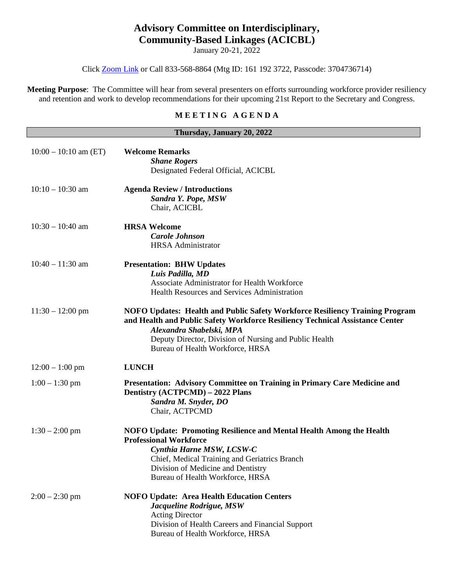## **Advisory Committee on Interdisciplinary, Community-Based Linkages (ACICBL)**

January 20-21, 2022

Click [Zoom Link](https://hrsa-gov.zoomgov.com/j/1611923722?pwd=T0VYOW5taWVGRGI1K0llUm9md1NrUT09) or Call 833-568-8864 (Mtg ID: 161 192 3722, Passcode: 3704736714)

**Meeting Purpose**: The Committee will hear from several presenters on efforts surrounding workforce provider resiliency and retention and work to develop recommendations for their upcoming 21st Report to the Secretary and Congress.

## **M E E T I N G A G E N D A**

| Thursday, January 20, 2022 |                                                                                                                                                                                                                                                                                         |  |
|----------------------------|-----------------------------------------------------------------------------------------------------------------------------------------------------------------------------------------------------------------------------------------------------------------------------------------|--|
| $10:00 - 10:10$ am (ET)    | <b>Welcome Remarks</b><br><b>Shane Rogers</b><br>Designated Federal Official, ACICBL                                                                                                                                                                                                    |  |
| $10:10 - 10:30$ am         | <b>Agenda Review / Introductions</b><br>Sandra Y. Pope, MSW<br>Chair, ACICBL                                                                                                                                                                                                            |  |
| $10:30 - 10:40$ am         | <b>HRSA Welcome</b><br><b>Carole Johnson</b><br><b>HRSA</b> Administrator                                                                                                                                                                                                               |  |
| $10:40 - 11:30$ am         | <b>Presentation: BHW Updates</b><br>Luis Padilla, MD<br>Associate Administrator for Health Workforce<br>Health Resources and Services Administration                                                                                                                                    |  |
| $11:30 - 12:00 \text{ pm}$ | NOFO Updates: Health and Public Safety Workforce Resiliency Training Program<br>and Health and Public Safety Workforce Resiliency Technical Assistance Center<br>Alexandra Shabelski, MPA<br>Deputy Director, Division of Nursing and Public Health<br>Bureau of Health Workforce, HRSA |  |
| $12:00 - 1:00$ pm          | <b>LUNCH</b>                                                                                                                                                                                                                                                                            |  |
| $1:00 - 1:30$ pm           | Presentation: Advisory Committee on Training in Primary Care Medicine and<br>Dentistry (ACTPCMD) – 2022 Plans<br>Sandra M. Snyder, DO<br>Chair, ACTPCMD                                                                                                                                 |  |
| $1:30 - 2:00$ pm           | NOFO Update: Promoting Resilience and Mental Health Among the Health<br><b>Professional Workforce</b><br>Cynthia Harne MSW, LCSW-C<br>Chief, Medical Training and Geriatrics Branch<br>Division of Medicine and Dentistry<br>Bureau of Health Workforce, HRSA                           |  |
| $2:00 - 2:30$ pm           | <b>NOFO Update: Area Health Education Centers</b><br>Jacqueline Rodrigue, MSW<br><b>Acting Director</b><br>Division of Health Careers and Financial Support<br>Bureau of Health Workforce, HRSA                                                                                         |  |